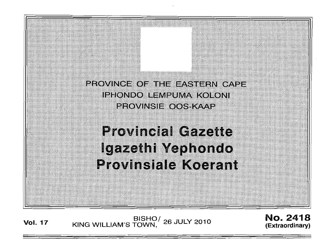

Vol. <sup>17</sup> BISHO/ KING WILLIAM'S TOWN, 26 JULY 2010

No. 2418 (Extraord inary)